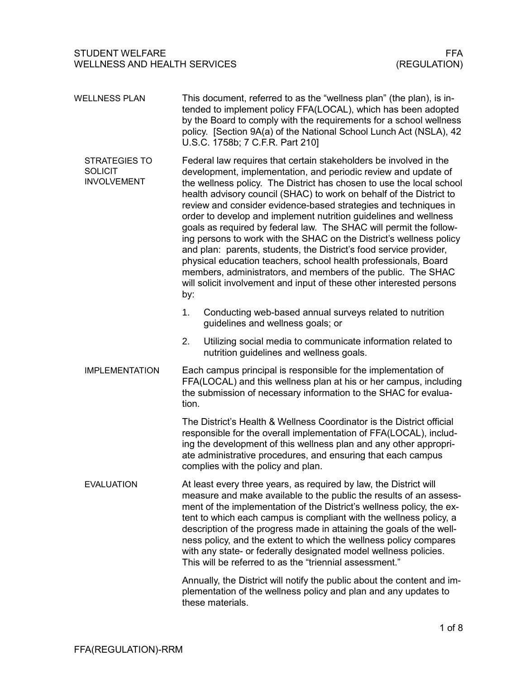# STUDENT WELFARE FFA<br>WELLNESS AND HEALTH SERVICES (REGULATION) WELLNESS AND HEALTH SERVICES

| <b>WELLNESS PLAN</b>                                         | This document, referred to as the "wellness plan" (the plan), is in-<br>tended to implement policy FFA(LOCAL), which has been adopted<br>by the Board to comply with the requirements for a school wellness<br>policy. [Section 9A(a) of the National School Lunch Act (NSLA), 42<br>U.S.C. 1758b; 7 C.F.R. Part 210]                                                                                                                                                                                                                                                                                                                                                                                                                                                                                                                                          |
|--------------------------------------------------------------|----------------------------------------------------------------------------------------------------------------------------------------------------------------------------------------------------------------------------------------------------------------------------------------------------------------------------------------------------------------------------------------------------------------------------------------------------------------------------------------------------------------------------------------------------------------------------------------------------------------------------------------------------------------------------------------------------------------------------------------------------------------------------------------------------------------------------------------------------------------|
| <b>STRATEGIES TO</b><br><b>SOLICIT</b><br><b>INVOLVEMENT</b> | Federal law requires that certain stakeholders be involved in the<br>development, implementation, and periodic review and update of<br>the wellness policy. The District has chosen to use the local school<br>health advisory council (SHAC) to work on behalf of the District to<br>review and consider evidence-based strategies and techniques in<br>order to develop and implement nutrition guidelines and wellness<br>goals as required by federal law. The SHAC will permit the follow-<br>ing persons to work with the SHAC on the District's wellness policy<br>and plan: parents, students, the District's food service provider,<br>physical education teachers, school health professionals, Board<br>members, administrators, and members of the public. The SHAC<br>will solicit involvement and input of these other interested persons<br>by: |
|                                                              | 1.<br>Conducting web-based annual surveys related to nutrition<br>quidelines and wellness goals; or                                                                                                                                                                                                                                                                                                                                                                                                                                                                                                                                                                                                                                                                                                                                                            |
|                                                              | 2.<br>Utilizing social media to communicate information related to<br>nutrition guidelines and wellness goals.                                                                                                                                                                                                                                                                                                                                                                                                                                                                                                                                                                                                                                                                                                                                                 |
| <b>IMPLEMENTATION</b>                                        | Each campus principal is responsible for the implementation of<br>FFA(LOCAL) and this wellness plan at his or her campus, including<br>the submission of necessary information to the SHAC for evalua-<br>tion.                                                                                                                                                                                                                                                                                                                                                                                                                                                                                                                                                                                                                                                |
|                                                              | The District's Health & Wellness Coordinator is the District official<br>responsible for the overall implementation of FFA(LOCAL), includ-<br>ing the development of this wellness plan and any other appropri-<br>ate administrative procedures, and ensuring that each campus<br>complies with the policy and plan.                                                                                                                                                                                                                                                                                                                                                                                                                                                                                                                                          |
| <b>EVALUATION</b>                                            | At least every three years, as required by law, the District will<br>measure and make available to the public the results of an assess-<br>ment of the implementation of the District's wellness policy, the ex-<br>tent to which each campus is compliant with the wellness policy, a<br>description of the progress made in attaining the goals of the well-<br>ness policy, and the extent to which the wellness policy compares<br>with any state- or federally designated model wellness policies.<br>This will be referred to as the "triennial assessment."                                                                                                                                                                                                                                                                                             |
|                                                              | Annually, the District will notify the public about the content and im-<br>plementation of the wellness policy and plan and any updates to<br>these materials.                                                                                                                                                                                                                                                                                                                                                                                                                                                                                                                                                                                                                                                                                                 |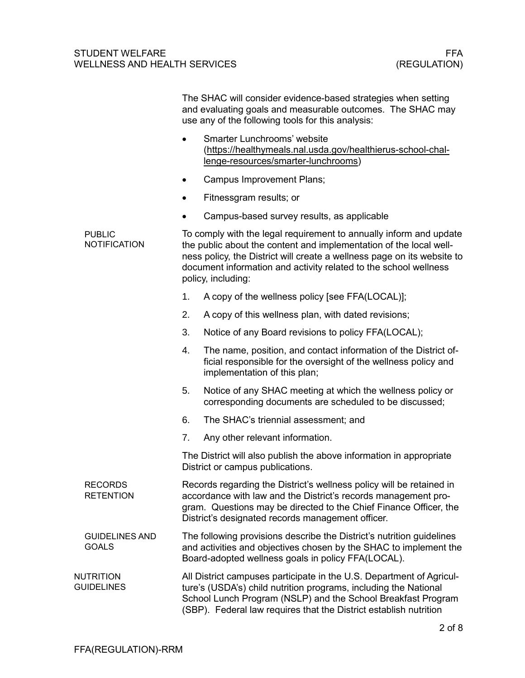|                                       |           | The SHAC will consider evidence-based strategies when setting<br>and evaluating goals and measurable outcomes. The SHAC may<br>use any of the following tools for this analysis:                                                                                                                              |
|---------------------------------------|-----------|---------------------------------------------------------------------------------------------------------------------------------------------------------------------------------------------------------------------------------------------------------------------------------------------------------------|
|                                       |           | Smarter Lunchrooms' website<br>(https://healthymeals.nal.usda.gov/healthierus-school-chal-<br>lenge-resources/smarter-lunchrooms)                                                                                                                                                                             |
|                                       |           | <b>Campus Improvement Plans;</b>                                                                                                                                                                                                                                                                              |
|                                       | $\bullet$ | Fitnessgram results; or                                                                                                                                                                                                                                                                                       |
|                                       |           | Campus-based survey results, as applicable                                                                                                                                                                                                                                                                    |
| <b>PUBLIC</b><br><b>NOTIFICATION</b>  |           | To comply with the legal requirement to annually inform and update<br>the public about the content and implementation of the local well-<br>ness policy, the District will create a wellness page on its website to<br>document information and activity related to the school wellness<br>policy, including: |
|                                       | 1.        | A copy of the wellness policy [see FFA(LOCAL)];                                                                                                                                                                                                                                                               |
|                                       | 2.        | A copy of this wellness plan, with dated revisions;                                                                                                                                                                                                                                                           |
|                                       | 3.        | Notice of any Board revisions to policy FFA(LOCAL);                                                                                                                                                                                                                                                           |
|                                       | 4.        | The name, position, and contact information of the District of-<br>ficial responsible for the oversight of the wellness policy and<br>implementation of this plan;                                                                                                                                            |
|                                       | 5.        | Notice of any SHAC meeting at which the wellness policy or<br>corresponding documents are scheduled to be discussed;                                                                                                                                                                                          |
|                                       | 6.        | The SHAC's triennial assessment; and                                                                                                                                                                                                                                                                          |
|                                       | 7.        | Any other relevant information.                                                                                                                                                                                                                                                                               |
|                                       |           | The District will also publish the above information in appropriate<br>District or campus publications.                                                                                                                                                                                                       |
| <b>RECORDS</b><br><b>RETENTION</b>    |           | Records regarding the District's wellness policy will be retained in<br>accordance with law and the District's records management pro-<br>gram. Questions may be directed to the Chief Finance Officer, the<br>District's designated records management officer.                                              |
| <b>GUIDELINES AND</b><br><b>GOALS</b> |           | The following provisions describe the District's nutrition guidelines<br>and activities and objectives chosen by the SHAC to implement the<br>Board-adopted wellness goals in policy FFA(LOCAL).                                                                                                              |
| <b>NUTRITION</b><br><b>GUIDELINES</b> |           | All District campuses participate in the U.S. Department of Agricul-<br>ture's (USDA's) child nutrition programs, including the National<br>School Lunch Program (NSLP) and the School Breakfast Program<br>(SBP). Federal law requires that the District establish nutrition                                 |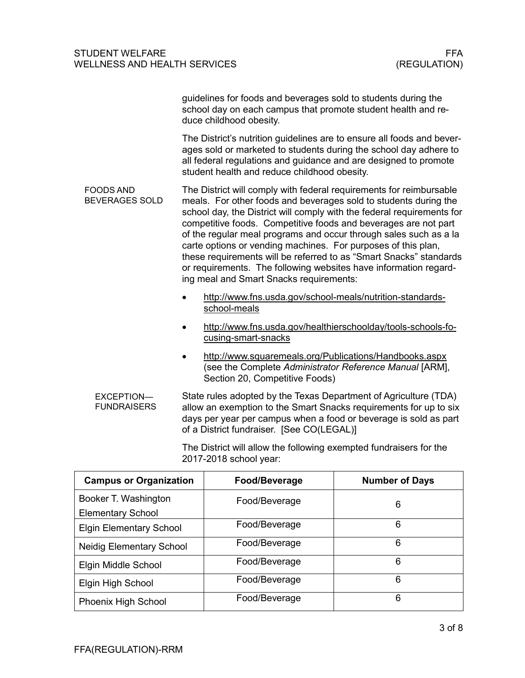# STUDENT WELFARE FFA<br>WELLNESS AND HEALTH SERVICES (REGULATION) WELLNESS AND HEALTH SERVICES

|                                           | guidelines for foods and beverages sold to students during the<br>school day on each campus that promote student health and re-<br>duce childhood obesity.                                                                                                                                                                                                                                                                                                                                                                                                                                                      |
|-------------------------------------------|-----------------------------------------------------------------------------------------------------------------------------------------------------------------------------------------------------------------------------------------------------------------------------------------------------------------------------------------------------------------------------------------------------------------------------------------------------------------------------------------------------------------------------------------------------------------------------------------------------------------|
|                                           | The District's nutrition guidelines are to ensure all foods and bever-<br>ages sold or marketed to students during the school day adhere to<br>all federal regulations and guidance and are designed to promote<br>student health and reduce childhood obesity.                                                                                                                                                                                                                                                                                                                                                 |
| <b>FOODS AND</b><br><b>BEVERAGES SOLD</b> | The District will comply with federal requirements for reimbursable<br>meals. For other foods and beverages sold to students during the<br>school day, the District will comply with the federal requirements for<br>competitive foods. Competitive foods and beverages are not part<br>of the regular meal programs and occur through sales such as a la<br>carte options or vending machines. For purposes of this plan,<br>these requirements will be referred to as "Smart Snacks" standards<br>or requirements. The following websites have information regard-<br>ing meal and Smart Snacks requirements: |
|                                           | http://www.fns.usda.gov/school-meals/nutrition-standards-<br>school-meals                                                                                                                                                                                                                                                                                                                                                                                                                                                                                                                                       |
|                                           | http://www.fns.usda.gov/healthierschoolday/tools-schools-fo-<br>cusing-smart-snacks                                                                                                                                                                                                                                                                                                                                                                                                                                                                                                                             |
|                                           | http://www.squaremeals.org/Publications/Handbooks.aspx<br>(see the Complete Administrator Reference Manual [ARM],<br>Section 20, Competitive Foods)                                                                                                                                                                                                                                                                                                                                                                                                                                                             |
| EXCEPTION-<br><b>FUNDRAISERS</b>          | State rules adopted by the Texas Department of Agriculture (TDA)<br>allow an exemption to the Smart Snacks requirements for up to six<br>days per year per campus when a food or beverage is sold as part<br>of a District fundraiser. [See CO(LEGAL)]                                                                                                                                                                                                                                                                                                                                                          |

The District will allow the following exempted fundraisers for the 2017-2018 school year:

| <b>Campus or Organization</b>   | Food/Beverage | <b>Number of Days</b> |
|---------------------------------|---------------|-----------------------|
| Booker T. Washington            | Food/Beverage | 6                     |
| <b>Elementary School</b>        |               |                       |
| <b>Elgin Elementary School</b>  | Food/Beverage | 6                     |
| <b>Neidig Elementary School</b> | Food/Beverage | 6                     |
| Elgin Middle School             | Food/Beverage | 6                     |
| Elgin High School               | Food/Beverage | 6                     |
| Phoenix High School             | Food/Beverage | 6                     |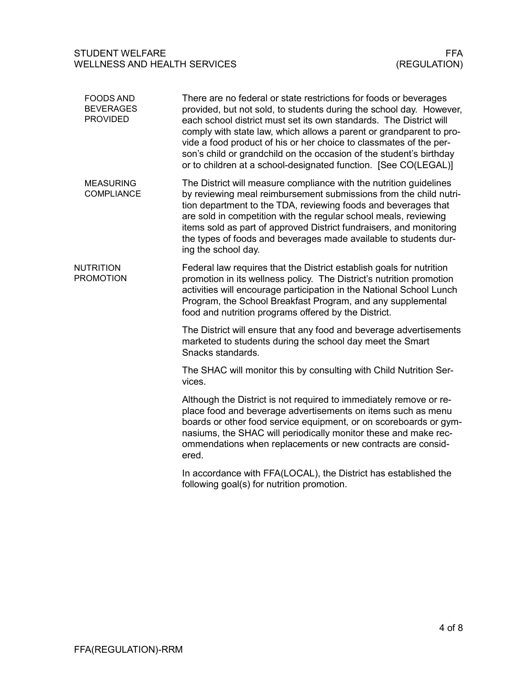# STUDENT WELFARE FFA<br>WELLNESS AND HEALTH SERVICES (REGULATION) WELLNESS AND HEALTH SERVICES

| <b>FOODS AND</b><br><b>BEVERAGES</b><br><b>PROVIDED</b> | There are no federal or state restrictions for foods or beverages<br>provided, but not sold, to students during the school day. However,<br>each school district must set its own standards. The District will<br>comply with state law, which allows a parent or grandparent to pro-<br>vide a food product of his or her choice to classmates of the per-<br>son's child or grandchild on the occasion of the student's birthday<br>or to children at a school-designated function. [See CO(LEGAL)] |
|---------------------------------------------------------|-------------------------------------------------------------------------------------------------------------------------------------------------------------------------------------------------------------------------------------------------------------------------------------------------------------------------------------------------------------------------------------------------------------------------------------------------------------------------------------------------------|
| <b>MEASURING</b><br><b>COMPLIANCE</b>                   | The District will measure compliance with the nutrition guidelines<br>by reviewing meal reimbursement submissions from the child nutri-<br>tion department to the TDA, reviewing foods and beverages that<br>are sold in competition with the regular school meals, reviewing<br>items sold as part of approved District fundraisers, and monitoring<br>the types of foods and beverages made available to students dur-<br>ing the school day.                                                       |
| <b>NUTRITION</b><br><b>PROMOTION</b>                    | Federal law requires that the District establish goals for nutrition<br>promotion in its wellness policy. The District's nutrition promotion<br>activities will encourage participation in the National School Lunch<br>Program, the School Breakfast Program, and any supplemental<br>food and nutrition programs offered by the District.                                                                                                                                                           |
|                                                         | The District will ensure that any food and beverage advertisements<br>marketed to students during the school day meet the Smart<br>Snacks standards.                                                                                                                                                                                                                                                                                                                                                  |
|                                                         | The SHAC will monitor this by consulting with Child Nutrition Ser-<br>vices.                                                                                                                                                                                                                                                                                                                                                                                                                          |
|                                                         | Although the District is not required to immediately remove or re-<br>place food and beverage advertisements on items such as menu<br>boards or other food service equipment, or on scoreboards or gym-<br>nasiums, the SHAC will periodically monitor these and make rec-<br>ommendations when replacements or new contracts are consid-<br>ered.                                                                                                                                                    |
|                                                         | In accordance with FFA(LOCAL), the District has established the<br>following goal(s) for nutrition promotion.                                                                                                                                                                                                                                                                                                                                                                                         |
|                                                         |                                                                                                                                                                                                                                                                                                                                                                                                                                                                                                       |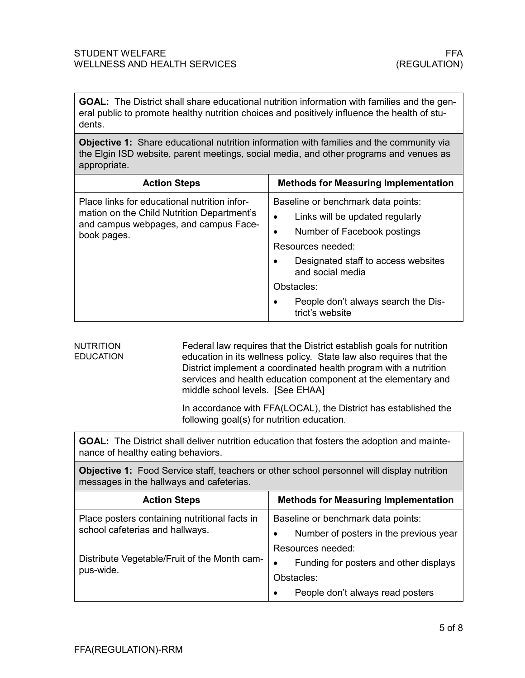#### STUDENT WELFARE FRAME AND STUDENT WELFARE FRAME. WELLNESS AND HEALTH SERVICES (REGULATION)

**GOAL:** The District shall share educational nutrition information with families and the general public to promote healthy nutrition choices and positively influence the health of students.

**Objective 1:** Share educational nutrition information with families and the community via the Elgin ISD website, parent meetings, social media, and other programs and venues as appropriate.

| <b>Action Steps</b>                                  | <b>Methods for Measuring Implementation</b>                         |
|------------------------------------------------------|---------------------------------------------------------------------|
| Place links for educational nutrition infor-         | Baseline or benchmark data points:                                  |
| mation on the Child Nutrition Department's           | Links will be updated regularly<br>$\bullet$                        |
| and campus webpages, and campus Face-<br>book pages. | Number of Facebook postings<br>٠                                    |
|                                                      | Resources needed:                                                   |
|                                                      | Designated staff to access websites<br>and social media             |
|                                                      | Obstacles:                                                          |
|                                                      | People don't always search the Dis-<br>$\bullet$<br>trict's website |

Federal law requires that the District establish goals for nutrition education in its wellness policy. State law also requires that the District implement a coordinated health program with a nutrition services and health education component at the elementary and middle school levels. [See EHAA] NUTRITION EDUCATION

> In accordance with FFA(LOCAL), the District has established the following goal(s) for nutrition education.

**GOAL:** The District shall deliver nutrition education that fosters the adoption and maintenance of healthy eating behaviors.

**Objective 1:** Food Service staff, teachers or other school personnel will display nutrition messages in the hallways and cafeterias.

| <b>Action Steps</b>                                       | <b>Methods for Measuring Implementation</b>         |
|-----------------------------------------------------------|-----------------------------------------------------|
| Place posters containing nutritional facts in             | Baseline or benchmark data points:                  |
| school cafeterias and hallways.                           | Number of posters in the previous year<br>$\bullet$ |
|                                                           | Resources needed:                                   |
| Distribute Vegetable/Fruit of the Month cam-<br>pus-wide. | Funding for posters and other displays              |
|                                                           | Obstacles:                                          |
|                                                           | People don't always read posters<br>$\bullet$       |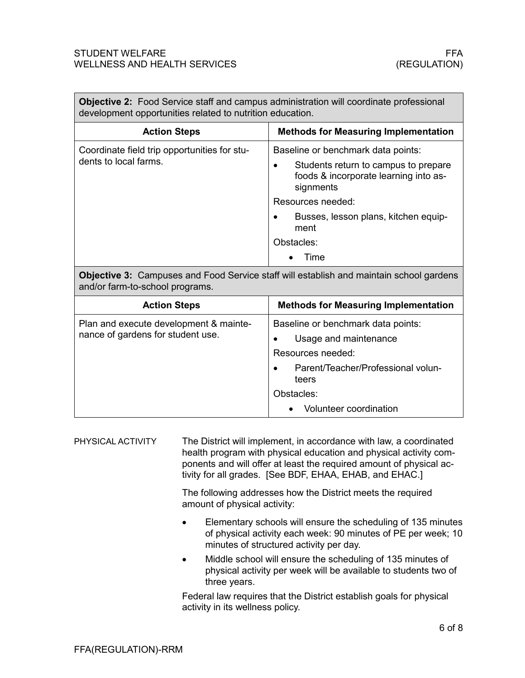#### STUDENT WELFARE FRAME AND THE STUDENT WELFARE FRAME. WELLNESS AND HEALTH SERVICES (REGULATION)

**Objective 2:** Food Service staff and campus administration will coordinate professional development opportunities related to nutrition education.

| <b>Action Steps</b>                                                   | <b>Methods for Measuring Implementation</b>                                                                         |
|-----------------------------------------------------------------------|---------------------------------------------------------------------------------------------------------------------|
| Coordinate field trip opportunities for stu-<br>dents to local farms. | Baseline or benchmark data points:<br>Students return to campus to prepare<br>foods & incorporate learning into as- |
|                                                                       | signments                                                                                                           |
|                                                                       | Resources needed:                                                                                                   |
|                                                                       | Busses, lesson plans, kitchen equip-<br>ment                                                                        |
|                                                                       | Obstacles:                                                                                                          |
|                                                                       | Time                                                                                                                |

**Objective 3:** Campuses and Food Service staff will establish and maintain school gardens and/or farm-to-school programs.

| <b>Action Steps</b>                                                         | <b>Methods for Measuring Implementation</b>                                                                                                                                          |
|-----------------------------------------------------------------------------|--------------------------------------------------------------------------------------------------------------------------------------------------------------------------------------|
| Plan and execute development & mainte-<br>nance of gardens for student use. | Baseline or benchmark data points:<br>Usage and maintenance<br>Resources needed:<br>Parent/Teacher/Professional volun-<br>teers<br>Obstacles:<br>Volunteer coordination<br>$\bullet$ |

The District will implement, in accordance with law, a coordinated health program with physical education and physical activity components and will offer at least the required amount of physical activity for all grades. [See BDF, EHAA, EHAB, and EHAC.] PHYSICAL ACTIVITY

> The following addresses how the District meets the required amount of physical activity:

- Elementary schools will ensure the scheduling of 135 minutes of physical activity each week: 90 minutes of PE per week; 10 minutes of structured activity per day.
- Middle school will ensure the scheduling of 135 minutes of physical activity per week will be available to students two of three years.

Federal law requires that the District establish goals for physical activity in its wellness policy.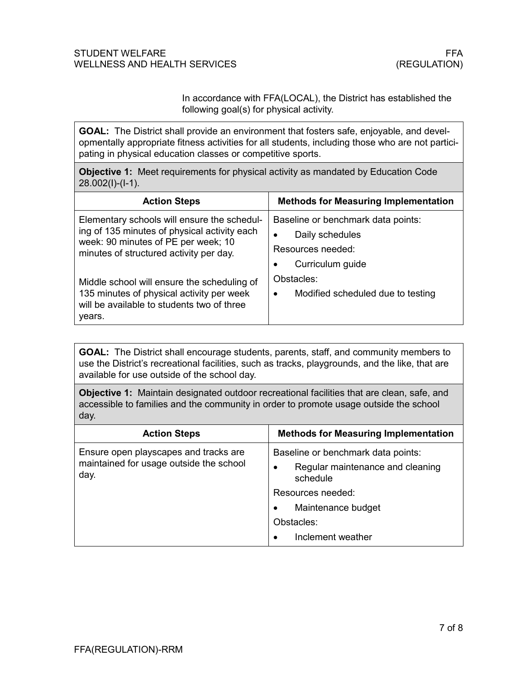### STUDENT WELFARE FRAME AND THE STUDENT WELFARE FRAME. WELLNESS AND HEALTH SERVICES (REGULATION)

In accordance with FFA(LOCAL), the District has established the following goal(s) for physical activity.

**GOAL:** The District shall provide an environment that fosters safe, enjoyable, and developmentally appropriate fitness activities for all students, including those who are not participating in physical education classes or competitive sports.

**Objective 1:** Meet requirements for physical activity as mandated by Education Code 28.002(I)-(I-1).

| <b>Action Steps</b>                                                                                                            | <b>Methods for Measuring Implementation</b>    |
|--------------------------------------------------------------------------------------------------------------------------------|------------------------------------------------|
| Elementary schools will ensure the schedul-                                                                                    | Baseline or benchmark data points:             |
| ing of 135 minutes of physical activity each<br>week: 90 minutes of PE per week; 10<br>minutes of structured activity per day. | Daily schedules                                |
|                                                                                                                                | Resources needed:                              |
|                                                                                                                                | Curriculum guide<br>٠                          |
| Middle school will ensure the scheduling of                                                                                    | Obstacles:                                     |
| 135 minutes of physical activity per week<br>will be available to students two of three<br>years.                              | Modified scheduled due to testing<br>$\bullet$ |

**GOAL:** The District shall encourage students, parents, staff, and community members to use the District's recreational facilities, such as tracks, playgrounds, and the like, that are available for use outside of the school day.

**Objective 1:** Maintain designated outdoor recreational facilities that are clean, safe, and accessible to families and the community in order to promote usage outside the school day.

| <b>Action Steps</b>                                                                      | <b>Methods for Measuring Implementation</b>                                                                                                                                                     |
|------------------------------------------------------------------------------------------|-------------------------------------------------------------------------------------------------------------------------------------------------------------------------------------------------|
| Ensure open playscapes and tracks are<br>maintained for usage outside the school<br>day. | Baseline or benchmark data points:<br>Regular maintenance and cleaning<br>٠<br>schedule<br>Resources needed:<br>Maintenance budget<br>$\bullet$<br>Obstacles:<br>Inclement weather<br>$\bullet$ |